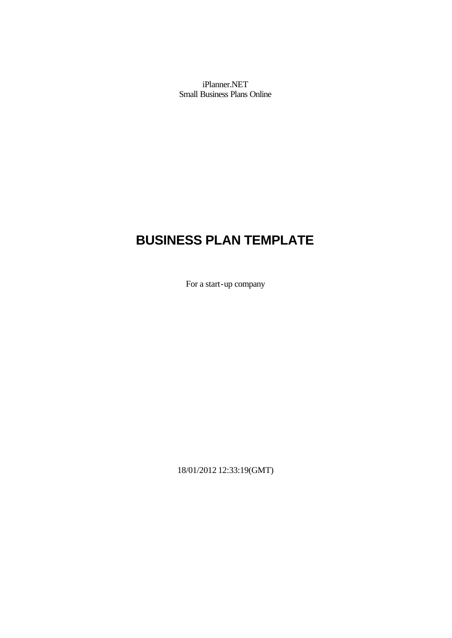iPlanner.NET Small Business Plans Online

# **BUSINESS PLAN TEMPLATE**

For a start-up company

18/01/2012 12:33:19(GMT)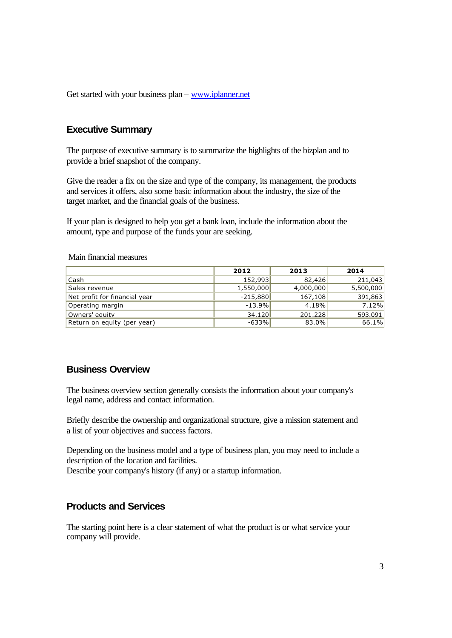Get started with your business plan – www.iplanner.net

## **Executive Summary**

The purpose of executive summary is to summarize the highlights of the bizplan and to provide a brief snapshot of the company.

Give the reader a fix on the size and type of the company, its management, the products and services it offers, also some basic information about the industry, the size of the target market, and the financial goals of the business.

If your plan is designed to help you get a bank loan, include the information about the amount, type and purpose of the funds your are seeking.

|                               | 2012       | 2013      | 2014      |
|-------------------------------|------------|-----------|-----------|
| Cash                          | 152,993    | 82,426    | 211,043   |
| Sales revenue                 | 1,550,000  | 4,000,000 | 5,500,000 |
| Net profit for financial year | $-215,880$ | 167, 108  | 391,863   |
| Operating margin              | $-13.9%$   | 4.18%     | 7.12%     |
| Owners' equity                | 34,120     | 201,228   | 593,091   |
| Return on equity (per year)   | $-633%$    | 83.0%     | 66.1%     |

#### Main financial measures

## **Business Overview**

The business overview section generally consists the information about your company's legal name, address and contact information.

Briefly describe the ownership and organizational structure, give a mission statement and a list of your objectives and success factors.

Depending on the business model and a type of business plan, you may need to include a description of the location and facilities.

Describe your company's history (if any) or a startup information.

## **Products and Services**

The starting point here is a clear statement of what the product is or what service your company will provide.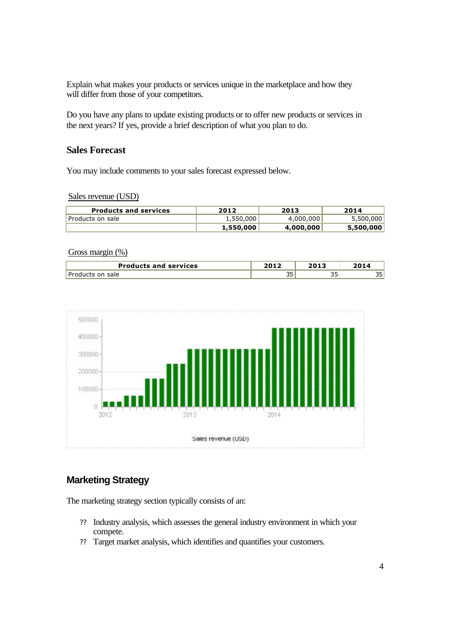Explain what makes your products or services unique in the marketplace and how they will differ from those of your competitors.

Do you have any plans to update existing products or to offer new products or services in the next years? If yes, provide a brief description of what you plan to do.

## **Sales Forecast**

You may include comments to your sales forecast expressed below.

Sales revenue (USD)

| <b>Products and services</b> | 2012      | 2013      | 2014      |
|------------------------------|-----------|-----------|-----------|
| Products on sale             | 1,550,000 | 4,000,000 | 5,500,000 |
|                              | 1,550,000 | 4,000,000 | 5,500,000 |

#### Gross margin (%)

| <b>Products and services</b> | ר ו הר<br>ZUIZ |          |          |
|------------------------------|----------------|----------|----------|
| Dr.<br>oducts on<br>sale     | ∼∼<br>ັ        | <u>-</u> | nF<br>-- |



# **Marketing Strategy**

The marketing strategy section typically consists of an:

- ?? Industry analysis, which assesses the general industry environment in which your compete.
- ?? Target market analysis, which identifies and quantifies your customers.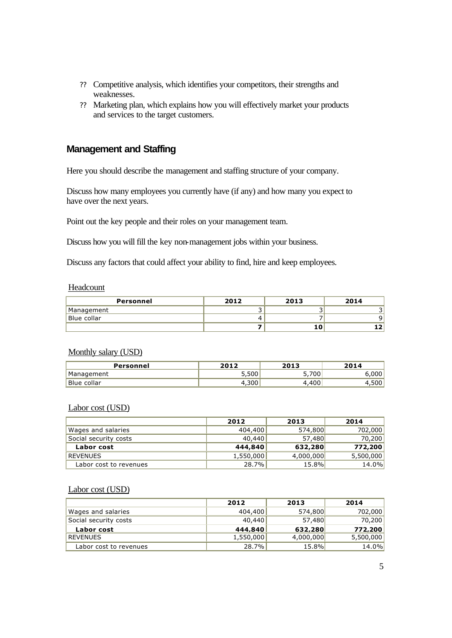- ?? Competitive analysis, which identifies your competitors, their strengths and weaknesses.
- ?? Marketing plan, which explains how you will effectively market your products and services to the target customers.

## **Management and Staffing**

Here you should describe the management and staffing structure of your company.

Discuss how many employees you currently have (if any) and how many you expect to have over the next years.

Point out the key people and their roles on your management team.

Discuss how you will fill the key non-management jobs within your business.

Discuss any factors that could affect your ability to find, hire and keep employees.

#### Headcount

| Personnel   | 2012 | 2013 | 2014 |
|-------------|------|------|------|
| Management  |      |      |      |
| Blue collar |      |      |      |
|             |      |      |      |

## Monthly salary (USD)

| Personnel   | つハ1つ  | 2013             | 2014  |
|-------------|-------|------------------|-------|
| Management  | 5,500 | 700 <sub>1</sub> | 000   |
| Blue collar | .300  | 400              | 1,500 |

#### Labor cost (USD)

|                        | 2012      | 2013      | 2014      |
|------------------------|-----------|-----------|-----------|
| Wages and salaries     | 404,400   | 574,800   | 702,000   |
| Social security costs  | 40,440    | 57,480    | 70,200    |
| Labor cost             | 444,840   | 632,280   | 772,200   |
| <b>REVENUES</b>        | 1,550,000 | 4,000,000 | 5,500,000 |
| Labor cost to revenues | 28.7%     | 15.8%     | 14.0%     |

#### Labor cost (USD)

|                        | 2012      | 2013      | 2014      |
|------------------------|-----------|-----------|-----------|
| Wages and salaries     | 404,400   | 574,800   | 702,000   |
| Social security costs  | 40,440    | 57,480    | 70,200    |
| Labor cost             | 444,840   | 632,280   | 772,200   |
| <b>REVENUES</b>        | 1,550,000 | 4,000,000 | 5,500,000 |
| Labor cost to revenues | 28.7%     | 15.8%     | 14.0%     |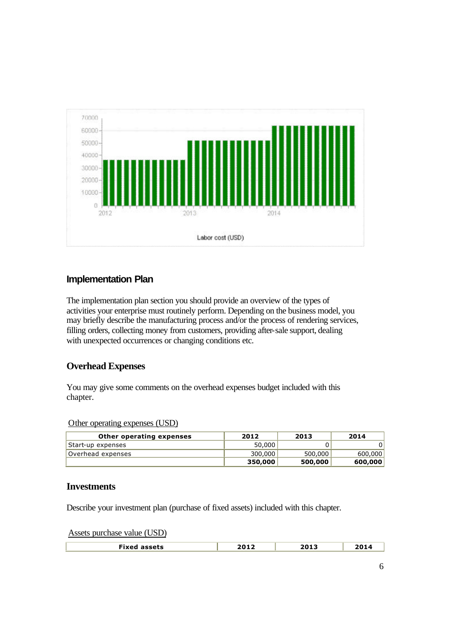

# **Implementation Plan**

The implementation plan section you should provide an overview of the types of activities your enterprise must routinely perform. Depending on the business model, you may briefly describe the manufacturing process and/or the process of rendering services, filling orders, collecting money from customers, providing after-sale support, dealing with unexpected occurrences or changing conditions etc.

# **Overhead Expenses**

You may give some comments on the overhead expenses budget included with this chapter.

## Other operating expenses (USD)

| Other operating expenses | 2012    | 2013    | 2014    |
|--------------------------|---------|---------|---------|
| Start-up expenses        | 50,000  |         |         |
| Overhead expenses        | 300,000 | 500,000 | 600,000 |
|                          | 350,000 | 500,000 | 600,000 |

## **Investments**

Describe your investment plan (purchase of fixed assets) included with this chapter.

Assets purchase value (USD)

| Fixed assets | 2012 | 2013 |  |
|--------------|------|------|--|
|              |      |      |  |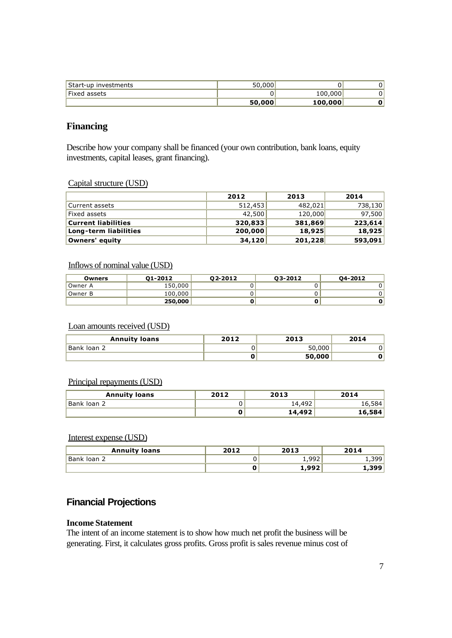|                      | 50,000 | 100,000 |    |
|----------------------|--------|---------|----|
| Fixed assets         |        | 100,000 | 01 |
| Start-up investments | 50.000 |         | 01 |

# **Financing**

Describe how your company shall be financed (your own contribution, bank loans, equity investments, capital leases, grant financing).

## Capital structure (USD)

|                            | 2012    | 2013    | 2014    |
|----------------------------|---------|---------|---------|
| Current assets             | 512.453 | 482,021 | 738,130 |
| Fixed assets               | 42,500  | 120,000 | 97,500  |
| <b>Current liabilities</b> | 320,833 | 381,869 | 223,614 |
| Long-term liabilities      | 200,000 | 18,925  | 18,925  |
| Owners' equity             | 34,120  | 201,228 | 593,091 |

## Inflows of nominal value (USD)

| Owners  | 01-2012 | 02-2012 | 03-2012 | 04-2012 |
|---------|---------|---------|---------|---------|
| Owner A | 150,000 |         |         |         |
| Owner B | 100,000 |         |         |         |
|         | 250,000 |         |         |         |

## Loan amounts received (USD)

| <b>Annuity loans</b> | 2012 | 2013   | 2014 |
|----------------------|------|--------|------|
| Bank Ioan 2          |      | 50,000 |      |
|                      |      | 50,000 |      |

## Principal repayments (USD)

| <b>Annuity loans</b> | 2012<br>2013 |        | 2014    |
|----------------------|--------------|--------|---------|
| Bank loan 2          |              | 14,492 | 16,584' |
|                      |              | 14,492 | 16,584  |

## Interest expense (USD)

| <b>Annuity loans</b> | 2012 | 2013 | 2014  |
|----------------------|------|------|-------|
| Bank loan 2          |      | .992 | 1.399 |
|                      | υ    | ,992 | 1,399 |

# **Financial Projections**

#### **Income Statement**

The intent of an income statement is to show how much net profit the business will be generating. First, it calculates gross profits. Gross profit is sales revenue minus cost of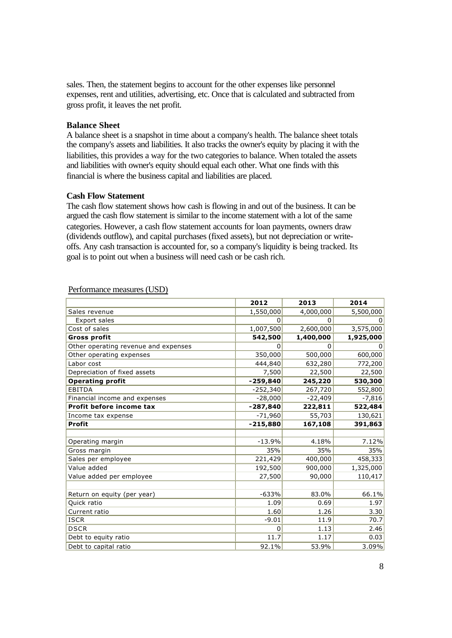sales. Then, the statement begins to account for the other expenses like personnel expenses, rent and utilities, advertising, etc. Once that is calculated and subtracted from gross profit, it leaves the net profit.

### **Balance Sheet**

A balance sheet is a snapshot in time about a company's health. The balance sheet totals the company's assets and liabilities. It also tracks the owner's equity by placing it with the liabilities, this provides a way for the two categories to balance. When totaled the assets and liabilities with owner's equity should equal each other. What one finds with this financial is where the business capital and liabilities are placed.

## **Cash Flow Statement**

The cash flow statement shows how cash is flowing in and out of the business. It can be argued the cash flow statement is similar to the income statement with a lot of the same categories. However, a cash flow statement accounts for loan payments, owners draw (dividends outflow), and capital purchases (fixed assets), but not depreciation or writeoffs. Any cash transaction is accounted for, so a company's liquidity is being tracked. Its goal is to point out when a business will need cash or be cash rich.

|                                      | 2012           | 2013      | 2014      |
|--------------------------------------|----------------|-----------|-----------|
| Sales revenue                        | 1,550,000      | 4,000,000 | 5,500,000 |
| <b>Export sales</b>                  | 0              | 0         | 0         |
| Cost of sales                        | 1,007,500      | 2,600,000 | 3,575,000 |
| <b>Gross profit</b>                  | 542,500        | 1,400,000 | 1,925,000 |
| Other operating revenue and expenses | $\Omega$       | 0         | 0         |
| Other operating expenses             | 350,000        | 500,000   | 600,000   |
| Labor cost                           | 444,840        | 632,280   | 772,200   |
| Depreciation of fixed assets         | 7,500          | 22,500    | 22,500    |
| <b>Operating profit</b>              | $-259,840$     | 245,220   | 530,300   |
| <b>EBITDA</b>                        | $-252,340$     | 267,720   | 552,800   |
| Financial income and expenses        | $-28,000$      | $-22,409$ | $-7,816$  |
| Profit before income tax             | $-287,840$     | 222,811   | 522,484   |
| Income tax expense                   | $-71,960$      | 55,703    | 130,621   |
| <b>Profit</b>                        | $-215,880$     | 167,108   | 391,863   |
|                                      |                |           |           |
| Operating margin                     | $-13.9%$       | 4.18%     | 7.12%     |
| Gross margin                         | 35%            | 35%       | 35%       |
| Sales per employee                   | 221,429        | 400,000   | 458,333   |
| Value added                          | 192,500        | 900,000   | 1,325,000 |
| Value added per employee             | 27,500         | 90,000    | 110,417   |
|                                      |                |           |           |
| Return on equity (per year)          | $-633%$        | 83.0%     | 66.1%     |
| Quick ratio                          | 1.09           | 0.69      | 1.97      |
| Current ratio                        | 1.60           | 1.26      | 3.30      |
| <b>ISCR</b>                          | $-9.01$        | 11.9      | 70.7      |
| <b>DSCR</b>                          | $\overline{0}$ | 1.13      | 2.46      |
| Debt to equity ratio                 | 11.7           | 1.17      | 0.03      |
| Debt to capital ratio                | 92.1%          | 53.9%     | 3.09%     |

#### Performance measures (USD)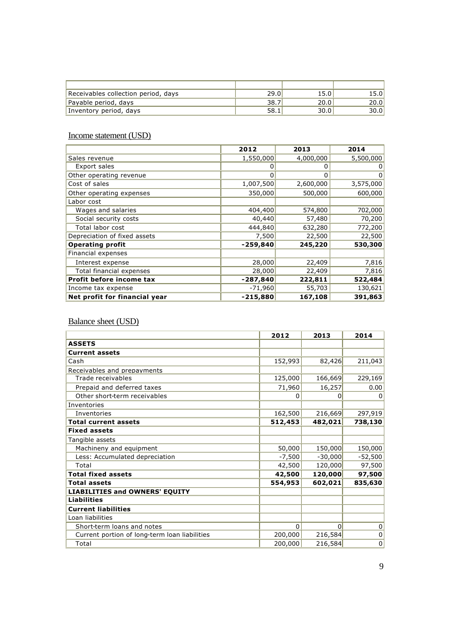| Receivables collection period, days | 29.0 | 15.0 | L5.01 |
|-------------------------------------|------|------|-------|
| Payable period, days                | 38.7 | 20.0 | 20.0  |
| Inventory period, days              | 58.1 | 30.0 | 30.0  |

## Income statement (USD)

|                               | 2012       | 2013      | 2014      |
|-------------------------------|------------|-----------|-----------|
| Sales revenue                 | 1,550,000  | 4,000,000 | 5,500,000 |
| Export sales                  | 0          |           |           |
| Other operating revenue       | $\Omega$   | 0         | 0         |
| Cost of sales                 | 1,007,500  | 2,600,000 | 3,575,000 |
| Other operating expenses      | 350,000    | 500,000   | 600,000   |
| Labor cost                    |            |           |           |
| Wages and salaries            | 404,400    | 574,800   | 702,000   |
| Social security costs         | 40,440     | 57,480    | 70,200    |
| Total labor cost              | 444,840    | 632,280   | 772,200   |
| Depreciation of fixed assets  | 7,500      | 22,500    | 22,500    |
| <b>Operating profit</b>       | $-259,840$ | 245,220   | 530,300   |
| Financial expenses            |            |           |           |
| Interest expense              | 28,000     | 22,409    | 7,816     |
| Total financial expenses      | 28,000     | 22,409    | 7,816     |
| Profit before income tax      | $-287,840$ | 222,811   | 522,484   |
| Income tax expense            | $-71,960$  | 55,703    | 130,621   |
| Net profit for financial year | $-215,880$ | 167,108   | 391,863   |

# Balance sheet (USD)

|                                               | 2012     | 2013      | 2014      |
|-----------------------------------------------|----------|-----------|-----------|
| <b>ASSETS</b>                                 |          |           |           |
| <b>Current assets</b>                         |          |           |           |
| Cash                                          | 152,993  | 82,426    | 211,043   |
| Receivables and prepayments                   |          |           |           |
| Trade receivables                             | 125,000  | 166,669   | 229,169   |
| Prepaid and deferred taxes                    | 71,960   | 16,257    | 0.00      |
| Other short-term receivables                  | 0        | 0         | 0         |
| Inventories                                   |          |           |           |
| Inventories                                   | 162,500  | 216,669   | 297,919   |
| <b>Total current assets</b>                   | 512,453  | 482,021   | 738,130   |
| <b>Fixed assets</b>                           |          |           |           |
| Tangible assets                               |          |           |           |
| Machineny and equipment                       | 50,000   | 150,000   | 150,000   |
| Less: Accumulated depreciation                | $-7,500$ | $-30,000$ | $-52,500$ |
| Total                                         | 42,500   | 120,000   | 97,500    |
| <b>Total fixed assets</b>                     | 42,500   | 120,000   | 97,500    |
| <b>Total assets</b>                           | 554,953  | 602,021   | 835,630   |
| <b>LIABILITIES and OWNERS' EQUITY</b>         |          |           |           |
| <b>Liabilities</b>                            |          |           |           |
| <b>Current liabilities</b>                    |          |           |           |
| Loan liabilities                              |          |           |           |
| Short-term loans and notes                    | $\Omega$ | $\Omega$  | 0         |
| Current portion of long-term loan liabilities | 200,000  | 216,584   | 0         |
| Total                                         | 200,000  | 216,584   | 0         |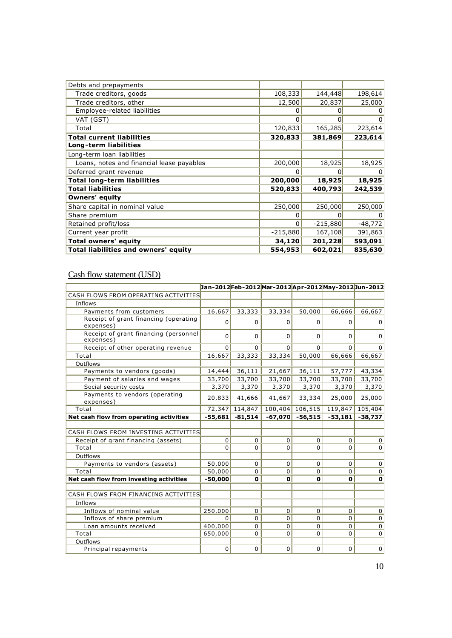| 108,333    | 144,448    | 198,614   |
|------------|------------|-----------|
| 12,500     | 20,837     | 25,000    |
| 0          |            | 0         |
| 0          | $\Omega$   | 0         |
| 120,833    | 165,285    | 223,614   |
| 320,833    | 381,869    | 223,614   |
|            |            |           |
|            |            |           |
| 200,000    | 18,925     | 18,925    |
| 0          | 0          | 0         |
| 200,000    | 18,925     | 18,925    |
| 520,833    | 400,793    | 242,539   |
|            |            |           |
| 250,000    | 250,000    | 250,000   |
| 0          | 0          | 0         |
| 0          | $-215,880$ | $-48,772$ |
| $-215,880$ | 167,108    | 391,863   |
| 34,120     | 201,228    | 593,091   |
| 554,953    | 602,021    | 835,630   |
|            |            |           |

## Cash flow statement (USD)

|                                                    |                |             |                |             | Jan-2012Feb-2012Mar-2012Apr-2012May-2012Jun-2012 |             |
|----------------------------------------------------|----------------|-------------|----------------|-------------|--------------------------------------------------|-------------|
| CASH FLOWS FROM OPERATING ACTIVITIES               |                |             |                |             |                                                  |             |
| Inflows                                            |                |             |                |             |                                                  |             |
| Payments from customers                            | 16,667         | 33,333      | 33,334         | 50,000      | 66,666                                           | 66,667      |
| Receipt of grant financing (operating<br>expenses) | 0              | $\Omega$    | 0              | $\Omega$    | $\Omega$                                         | 0           |
| Receipt of grant financing (personnel<br>expenses) | $\Omega$       | $\Omega$    | 0              | $\Omega$    | $\Omega$                                         | $\Omega$    |
| Receipt of other operating revenue                 | $\Omega$       | $\Omega$    | $\Omega$       | $\Omega$    | $\Omega$                                         | 0           |
| Total                                              | 16,667         | 33,333      | 33,334         | 50,000      | 66,666                                           | 66,667      |
| Outflows                                           |                |             |                |             |                                                  |             |
| Payments to vendors (goods)                        | 14,444         | 36,111      | 21,667         | 36,111      | 57,777                                           | 43,334      |
| Payment of salaries and wages                      | 33,700         | 33,700      | 33,700         | 33,700      | 33,700                                           | 33,700      |
| Social security costs                              | 3,370          | 3,370       | 3,370          | 3,370       | 3,370                                            | 3,370       |
| Payments to vendors (operating<br>expenses)        | 20,833         | 41,666      | 41,667         | 33,334      | 25,000                                           | 25,000      |
| Total                                              | 72,347         | 114,847     | 100,404        | 106,515     | 119,847                                          | 105,404     |
| Net cash flow from operating activities            | $-55,681$      | $-81,514$   | $-67.070$      | $-56,515$   | $-53,181$                                        | $-38,737$   |
|                                                    |                |             |                |             |                                                  |             |
| CASH FLOWS FROM INVESTING ACTIVITIES               |                |             |                |             |                                                  |             |
| Receipt of grant financing (assets)                | $\overline{0}$ | 0           | $\overline{0}$ | $\Omega$    | $\mathbf 0$                                      | $\mathbf 0$ |
| Total                                              | $\Omega$       | $\Omega$    | $\Omega$       | $\Omega$    | $\Omega$                                         | $\Omega$    |
| Outflows                                           |                |             |                |             |                                                  |             |
| Payments to vendors (assets)                       | 50,000         | 0           | 0              | $\mathbf 0$ | 0                                                | $\mathbf 0$ |
| Total                                              | 50,000         | $\Omega$    | 0              | $\Omega$    | $\Omega$                                         | $\Omega$    |
| Net cash flow from investing activities            | $-50,000$      | $\mathbf 0$ | $\mathbf{o}$   | 0           | $\mathbf{0}$                                     | 0           |
|                                                    |                |             |                |             |                                                  |             |
| CASH FLOWS FROM FINANCING ACTIVITIES               |                |             |                |             |                                                  |             |
| Inflows                                            |                |             |                |             |                                                  |             |
| Inflows of nominal value                           | 250,000        | 0           | $\overline{0}$ | 0           | $\mathbf 0$                                      | 0           |
| Inflows of share premium                           | $\Omega$       | 0           | 0              | $\Omega$    | $\Omega$                                         | 0           |
| Loan amounts received                              | 400,000        | $\Omega$    | 0              | $\Omega$    | $\Omega$                                         | 0           |
| Total                                              | 650,000        | 0           | $\overline{0}$ | $\Omega$    | $\Omega$                                         | 0           |
| Outflows                                           |                |             |                |             |                                                  |             |
| Principal repayments                               | 0              | $\mathbf 0$ | $\mathbf 0$    | 0           | $\mathbf 0$                                      | $\mathbf 0$ |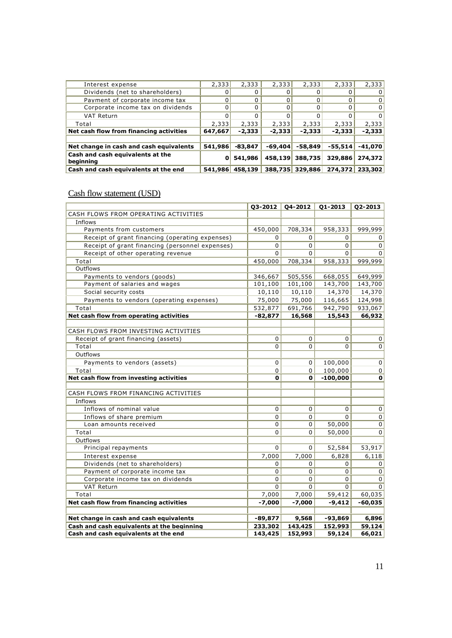| Interest expense                        | 2,333   | 2,333     | 2,333     | 2,333           | 2,333     | 2,333     |
|-----------------------------------------|---------|-----------|-----------|-----------------|-----------|-----------|
| Dividends (net to shareholders)         |         |           |           |                 |           |           |
| Payment of corporate income tax         |         |           |           |                 |           |           |
| Corporate income tax on dividends       |         |           |           |                 |           |           |
| <b>VAT Return</b>                       |         |           |           |                 |           |           |
| Total                                   | 2,333   | 2,333     | 2,333     | 2,333           | 2,333     | 2,333     |
| Net cash flow from financing activities | 647,667 | $-2,333$  | $-2,333$  | $-2,333$        | $-2,333$  | $-2,333$  |
|                                         |         |           |           |                 |           |           |
| Net change in cash and cash equivalents | 541,986 | $-83,847$ | $-69,404$ | $-58,849$       | $-55,514$ | $-41.070$ |
| Cash and cash equivalents at the        | 0       | 541,986   | 458,139   | 388,735         | 329,886   | 274,372   |
| beginning                               |         |           |           |                 |           |           |
| Cash and cash equivalents at the end    | 541,986 | 458,139   |           | 388,735 329,886 | 274,372   | 233,302   |

# Cash flow statement (USD)

|                                                 |           | $03 - 2012$ 04-2012 | 01-2013        | 02-2013     |
|-------------------------------------------------|-----------|---------------------|----------------|-------------|
| CASH FLOWS FROM OPERATING ACTIVITIES            |           |                     |                |             |
| Inflows                                         |           |                     |                |             |
| Payments from customers                         | 450,000   | 708,334             | 958,333        | 999,999     |
| Receipt of grant financing (operating expenses) | 0         | 0                   | $\Omega$       | 0           |
| Receipt of grant financing (personnel expenses) | $\Omega$  | $\Omega$            | $\Omega$       | $\Omega$    |
| Receipt of other operating revenue              | 0         | 0                   | 0              | $\Omega$    |
| Total                                           | 450,000   | 708,334             | 958,333        | 999,999     |
| Outflows                                        |           |                     |                |             |
| Payments to vendors (goods)                     | 346,667   | 505,556             | 668,055        | 649,999     |
| Payment of salaries and wages                   | 101,100   | 101,100             | 143,700        | 143,700     |
| Social security costs                           | 10,110    | 10,110              | 14,370         | 14,370      |
| Payments to vendors (operating expenses)        | 75,000    | 75,000              | 116,665        | 124,998     |
| Total                                           | 532,877   | 691,766             | 942,790        | 933,067     |
| Net cash flow from operating activities         | $-82,877$ | 16,568              | 15,543         | 66,932      |
|                                                 |           |                     |                |             |
| CASH FLOWS FROM INVESTING ACTIVITIES            |           |                     |                |             |
| Receipt of grant financing (assets)             | 0         | 0                   | $\overline{0}$ | 0           |
| Total                                           | 0         | 0                   | 0              | 0           |
| Outflows                                        |           |                     |                |             |
| Payments to vendors (assets)                    | 0         | 0                   | 100,000        | $\mathbf 0$ |
| Total                                           | 0         | $\Omega$            | 100,000        | 0           |
| Net cash flow from investing activities         | O         | 0                   | $-100,000$     | 0           |
|                                                 |           |                     |                |             |
| CASH FLOWS FROM FINANCING ACTIVITIES            |           |                     |                |             |
| Inflows                                         |           |                     |                |             |
| Inflows of nominal value                        | 0         | 0                   | $\overline{0}$ | 0           |
| Inflows of share premium                        | 0         | 0                   | $\Omega$       | 0           |
| Loan amounts received                           | 0         | 0                   | 50,000         | 0           |
| Total                                           | 0         | $\Omega$            | 50,000         | 0           |
| Outflows                                        |           |                     |                |             |
| Principal repayments                            | $\Omega$  | 0                   | 52,584         | 53,917      |
| Interest expense                                | 7,000     | 7,000               | 6,828          | 6,118       |
| Dividends (net to shareholders)                 | 0         | 0                   | 0              | 0           |
| Payment of corporate income tax                 | 0         | 0                   | $\overline{0}$ | 0           |
| Corporate income tax on dividends               | 0         | 0                   | 0              | 0           |
| VAT Return                                      | 0         | $\Omega$            | $\overline{0}$ | $\Omega$    |
| Total                                           | 7,000     | 7,000               | 59,412         | 60,035      |
| Net cash flow from financing activities         | $-7,000$  | $-7,000$            | $-9,412$       | $-60,035$   |
|                                                 |           |                     |                |             |
| Net change in cash and cash equivalents         | $-89,877$ | 9,568               | $-93,869$      | 6,896       |
| Cash and cash equivalents at the beginning      | 233,302   | 143,425             | 152,993        | 59,124      |
| Cash and cash equivalents at the end            | 143,425   | 152,993             | 59,124         | 66,021      |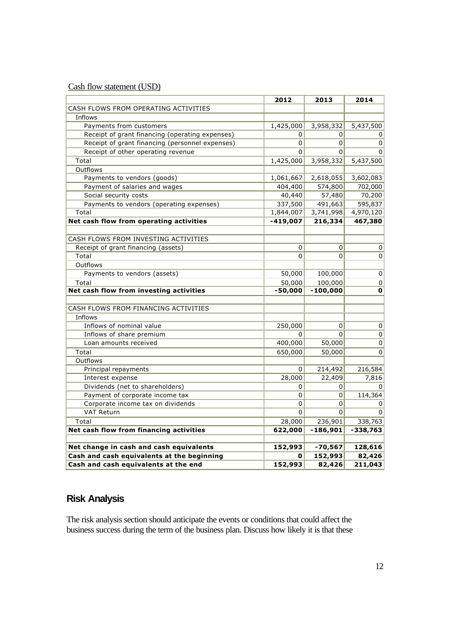Cash flow statement (USD)

| CASH FLOWS FROM OPERATING ACTIVITIES<br>Inflows<br>Payments from customers<br>1,425,000<br>3,958,332<br>5,437,500<br>Receipt of grant financing (operating expenses)<br>0<br>0<br>0<br>Receipt of grant financing (personnel expenses)<br>$\Omega$<br>$\Omega$<br>0<br>Receipt of other operating revenue<br>0<br>0<br>$\Omega$<br>Total<br>1,425,000<br>3,958,332<br>5,437,500<br>Outflows<br>Payments to vendors (goods)<br>1,061,667<br>2,618,055<br>3,602,083<br>Payment of salaries and wages<br>404,400<br>574,800<br>702,000<br>40,440<br>57,480<br>70,200<br>Social security costs<br>Payments to vendors (operating expenses)<br>337,500<br>595,837<br>491,663<br>4,970,120<br>Total<br>$\overline{1,}844,007$<br>3,741,998<br>Net cash flow from operating activities<br>$-419,007$<br>216,334<br>467,380<br>CASH FLOWS FROM INVESTING ACTIVITIES<br>$\mathbf 0$<br>Receipt of grant financing (assets)<br>$\overline{0}$<br>0<br>Total<br>$\Omega$<br>0<br>0<br>Outflows<br>Payments to vendors (assets)<br>50,000<br>100,000<br>$\pmb{0}$<br>Total<br>50,000<br>100,000<br>0<br>Net cash flow from investing activities<br>$-50,000$<br>$-100,000$<br>0<br>CASH FLOWS FROM FINANCING ACTIVITIES<br>Inflows<br>Inflows of nominal value<br>250,000<br>0<br>0<br>Inflows of share premium<br>$\Omega$<br>$\Omega$<br>$\pmb{0}$<br>400,000<br>50,000<br>$\pmb{0}$<br>Loan amounts received<br>$\mathbf 0$<br>Total<br>650,000<br>50,000<br>Outflows<br>0<br>214,492<br>216,584<br>Principal repayments<br>28,000<br>22,409<br>7,816<br>Interest expense<br>Dividends (net to shareholders)<br>0<br>0<br>0<br>114,364<br>Payment of corporate income tax<br>0<br>0<br>0<br>Corporate income tax on dividends<br>0<br>0<br><b>VAT Return</b><br>0<br>$\overline{0}$<br>$\Omega$<br>Total<br>28,000<br>236,901<br>338,763<br>Net cash flow from financing activities<br>$-186,901$<br>622,000<br>$-338,763$<br>Net change in cash and cash equivalents<br>$-70,567$<br>128,616<br>152,993<br>Cash and cash equivalents at the beginning<br>152,993<br>82,426<br>0 |                                      | 2012    | 2013   | 2014    |
|-------------------------------------------------------------------------------------------------------------------------------------------------------------------------------------------------------------------------------------------------------------------------------------------------------------------------------------------------------------------------------------------------------------------------------------------------------------------------------------------------------------------------------------------------------------------------------------------------------------------------------------------------------------------------------------------------------------------------------------------------------------------------------------------------------------------------------------------------------------------------------------------------------------------------------------------------------------------------------------------------------------------------------------------------------------------------------------------------------------------------------------------------------------------------------------------------------------------------------------------------------------------------------------------------------------------------------------------------------------------------------------------------------------------------------------------------------------------------------------------------------------------------------------------------------------------------------------------------------------------------------------------------------------------------------------------------------------------------------------------------------------------------------------------------------------------------------------------------------------------------------------------------------------------------------------------------------------------------------------------------------------------------------------------------------------------------|--------------------------------------|---------|--------|---------|
|                                                                                                                                                                                                                                                                                                                                                                                                                                                                                                                                                                                                                                                                                                                                                                                                                                                                                                                                                                                                                                                                                                                                                                                                                                                                                                                                                                                                                                                                                                                                                                                                                                                                                                                                                                                                                                                                                                                                                                                                                                                                         |                                      |         |        |         |
|                                                                                                                                                                                                                                                                                                                                                                                                                                                                                                                                                                                                                                                                                                                                                                                                                                                                                                                                                                                                                                                                                                                                                                                                                                                                                                                                                                                                                                                                                                                                                                                                                                                                                                                                                                                                                                                                                                                                                                                                                                                                         |                                      |         |        |         |
|                                                                                                                                                                                                                                                                                                                                                                                                                                                                                                                                                                                                                                                                                                                                                                                                                                                                                                                                                                                                                                                                                                                                                                                                                                                                                                                                                                                                                                                                                                                                                                                                                                                                                                                                                                                                                                                                                                                                                                                                                                                                         |                                      |         |        |         |
|                                                                                                                                                                                                                                                                                                                                                                                                                                                                                                                                                                                                                                                                                                                                                                                                                                                                                                                                                                                                                                                                                                                                                                                                                                                                                                                                                                                                                                                                                                                                                                                                                                                                                                                                                                                                                                                                                                                                                                                                                                                                         |                                      |         |        |         |
|                                                                                                                                                                                                                                                                                                                                                                                                                                                                                                                                                                                                                                                                                                                                                                                                                                                                                                                                                                                                                                                                                                                                                                                                                                                                                                                                                                                                                                                                                                                                                                                                                                                                                                                                                                                                                                                                                                                                                                                                                                                                         |                                      |         |        |         |
|                                                                                                                                                                                                                                                                                                                                                                                                                                                                                                                                                                                                                                                                                                                                                                                                                                                                                                                                                                                                                                                                                                                                                                                                                                                                                                                                                                                                                                                                                                                                                                                                                                                                                                                                                                                                                                                                                                                                                                                                                                                                         |                                      |         |        |         |
|                                                                                                                                                                                                                                                                                                                                                                                                                                                                                                                                                                                                                                                                                                                                                                                                                                                                                                                                                                                                                                                                                                                                                                                                                                                                                                                                                                                                                                                                                                                                                                                                                                                                                                                                                                                                                                                                                                                                                                                                                                                                         |                                      |         |        |         |
|                                                                                                                                                                                                                                                                                                                                                                                                                                                                                                                                                                                                                                                                                                                                                                                                                                                                                                                                                                                                                                                                                                                                                                                                                                                                                                                                                                                                                                                                                                                                                                                                                                                                                                                                                                                                                                                                                                                                                                                                                                                                         |                                      |         |        |         |
|                                                                                                                                                                                                                                                                                                                                                                                                                                                                                                                                                                                                                                                                                                                                                                                                                                                                                                                                                                                                                                                                                                                                                                                                                                                                                                                                                                                                                                                                                                                                                                                                                                                                                                                                                                                                                                                                                                                                                                                                                                                                         |                                      |         |        |         |
|                                                                                                                                                                                                                                                                                                                                                                                                                                                                                                                                                                                                                                                                                                                                                                                                                                                                                                                                                                                                                                                                                                                                                                                                                                                                                                                                                                                                                                                                                                                                                                                                                                                                                                                                                                                                                                                                                                                                                                                                                                                                         |                                      |         |        |         |
|                                                                                                                                                                                                                                                                                                                                                                                                                                                                                                                                                                                                                                                                                                                                                                                                                                                                                                                                                                                                                                                                                                                                                                                                                                                                                                                                                                                                                                                                                                                                                                                                                                                                                                                                                                                                                                                                                                                                                                                                                                                                         |                                      |         |        |         |
|                                                                                                                                                                                                                                                                                                                                                                                                                                                                                                                                                                                                                                                                                                                                                                                                                                                                                                                                                                                                                                                                                                                                                                                                                                                                                                                                                                                                                                                                                                                                                                                                                                                                                                                                                                                                                                                                                                                                                                                                                                                                         |                                      |         |        |         |
|                                                                                                                                                                                                                                                                                                                                                                                                                                                                                                                                                                                                                                                                                                                                                                                                                                                                                                                                                                                                                                                                                                                                                                                                                                                                                                                                                                                                                                                                                                                                                                                                                                                                                                                                                                                                                                                                                                                                                                                                                                                                         |                                      |         |        |         |
|                                                                                                                                                                                                                                                                                                                                                                                                                                                                                                                                                                                                                                                                                                                                                                                                                                                                                                                                                                                                                                                                                                                                                                                                                                                                                                                                                                                                                                                                                                                                                                                                                                                                                                                                                                                                                                                                                                                                                                                                                                                                         |                                      |         |        |         |
|                                                                                                                                                                                                                                                                                                                                                                                                                                                                                                                                                                                                                                                                                                                                                                                                                                                                                                                                                                                                                                                                                                                                                                                                                                                                                                                                                                                                                                                                                                                                                                                                                                                                                                                                                                                                                                                                                                                                                                                                                                                                         |                                      |         |        |         |
|                                                                                                                                                                                                                                                                                                                                                                                                                                                                                                                                                                                                                                                                                                                                                                                                                                                                                                                                                                                                                                                                                                                                                                                                                                                                                                                                                                                                                                                                                                                                                                                                                                                                                                                                                                                                                                                                                                                                                                                                                                                                         |                                      |         |        |         |
|                                                                                                                                                                                                                                                                                                                                                                                                                                                                                                                                                                                                                                                                                                                                                                                                                                                                                                                                                                                                                                                                                                                                                                                                                                                                                                                                                                                                                                                                                                                                                                                                                                                                                                                                                                                                                                                                                                                                                                                                                                                                         |                                      |         |        |         |
|                                                                                                                                                                                                                                                                                                                                                                                                                                                                                                                                                                                                                                                                                                                                                                                                                                                                                                                                                                                                                                                                                                                                                                                                                                                                                                                                                                                                                                                                                                                                                                                                                                                                                                                                                                                                                                                                                                                                                                                                                                                                         |                                      |         |        |         |
|                                                                                                                                                                                                                                                                                                                                                                                                                                                                                                                                                                                                                                                                                                                                                                                                                                                                                                                                                                                                                                                                                                                                                                                                                                                                                                                                                                                                                                                                                                                                                                                                                                                                                                                                                                                                                                                                                                                                                                                                                                                                         |                                      |         |        |         |
|                                                                                                                                                                                                                                                                                                                                                                                                                                                                                                                                                                                                                                                                                                                                                                                                                                                                                                                                                                                                                                                                                                                                                                                                                                                                                                                                                                                                                                                                                                                                                                                                                                                                                                                                                                                                                                                                                                                                                                                                                                                                         |                                      |         |        |         |
|                                                                                                                                                                                                                                                                                                                                                                                                                                                                                                                                                                                                                                                                                                                                                                                                                                                                                                                                                                                                                                                                                                                                                                                                                                                                                                                                                                                                                                                                                                                                                                                                                                                                                                                                                                                                                                                                                                                                                                                                                                                                         |                                      |         |        |         |
|                                                                                                                                                                                                                                                                                                                                                                                                                                                                                                                                                                                                                                                                                                                                                                                                                                                                                                                                                                                                                                                                                                                                                                                                                                                                                                                                                                                                                                                                                                                                                                                                                                                                                                                                                                                                                                                                                                                                                                                                                                                                         |                                      |         |        |         |
|                                                                                                                                                                                                                                                                                                                                                                                                                                                                                                                                                                                                                                                                                                                                                                                                                                                                                                                                                                                                                                                                                                                                                                                                                                                                                                                                                                                                                                                                                                                                                                                                                                                                                                                                                                                                                                                                                                                                                                                                                                                                         |                                      |         |        |         |
|                                                                                                                                                                                                                                                                                                                                                                                                                                                                                                                                                                                                                                                                                                                                                                                                                                                                                                                                                                                                                                                                                                                                                                                                                                                                                                                                                                                                                                                                                                                                                                                                                                                                                                                                                                                                                                                                                                                                                                                                                                                                         |                                      |         |        |         |
|                                                                                                                                                                                                                                                                                                                                                                                                                                                                                                                                                                                                                                                                                                                                                                                                                                                                                                                                                                                                                                                                                                                                                                                                                                                                                                                                                                                                                                                                                                                                                                                                                                                                                                                                                                                                                                                                                                                                                                                                                                                                         |                                      |         |        |         |
|                                                                                                                                                                                                                                                                                                                                                                                                                                                                                                                                                                                                                                                                                                                                                                                                                                                                                                                                                                                                                                                                                                                                                                                                                                                                                                                                                                                                                                                                                                                                                                                                                                                                                                                                                                                                                                                                                                                                                                                                                                                                         |                                      |         |        |         |
|                                                                                                                                                                                                                                                                                                                                                                                                                                                                                                                                                                                                                                                                                                                                                                                                                                                                                                                                                                                                                                                                                                                                                                                                                                                                                                                                                                                                                                                                                                                                                                                                                                                                                                                                                                                                                                                                                                                                                                                                                                                                         |                                      |         |        |         |
|                                                                                                                                                                                                                                                                                                                                                                                                                                                                                                                                                                                                                                                                                                                                                                                                                                                                                                                                                                                                                                                                                                                                                                                                                                                                                                                                                                                                                                                                                                                                                                                                                                                                                                                                                                                                                                                                                                                                                                                                                                                                         |                                      |         |        |         |
|                                                                                                                                                                                                                                                                                                                                                                                                                                                                                                                                                                                                                                                                                                                                                                                                                                                                                                                                                                                                                                                                                                                                                                                                                                                                                                                                                                                                                                                                                                                                                                                                                                                                                                                                                                                                                                                                                                                                                                                                                                                                         |                                      |         |        |         |
|                                                                                                                                                                                                                                                                                                                                                                                                                                                                                                                                                                                                                                                                                                                                                                                                                                                                                                                                                                                                                                                                                                                                                                                                                                                                                                                                                                                                                                                                                                                                                                                                                                                                                                                                                                                                                                                                                                                                                                                                                                                                         |                                      |         |        |         |
|                                                                                                                                                                                                                                                                                                                                                                                                                                                                                                                                                                                                                                                                                                                                                                                                                                                                                                                                                                                                                                                                                                                                                                                                                                                                                                                                                                                                                                                                                                                                                                                                                                                                                                                                                                                                                                                                                                                                                                                                                                                                         |                                      |         |        |         |
|                                                                                                                                                                                                                                                                                                                                                                                                                                                                                                                                                                                                                                                                                                                                                                                                                                                                                                                                                                                                                                                                                                                                                                                                                                                                                                                                                                                                                                                                                                                                                                                                                                                                                                                                                                                                                                                                                                                                                                                                                                                                         |                                      |         |        |         |
|                                                                                                                                                                                                                                                                                                                                                                                                                                                                                                                                                                                                                                                                                                                                                                                                                                                                                                                                                                                                                                                                                                                                                                                                                                                                                                                                                                                                                                                                                                                                                                                                                                                                                                                                                                                                                                                                                                                                                                                                                                                                         |                                      |         |        |         |
|                                                                                                                                                                                                                                                                                                                                                                                                                                                                                                                                                                                                                                                                                                                                                                                                                                                                                                                                                                                                                                                                                                                                                                                                                                                                                                                                                                                                                                                                                                                                                                                                                                                                                                                                                                                                                                                                                                                                                                                                                                                                         |                                      |         |        |         |
|                                                                                                                                                                                                                                                                                                                                                                                                                                                                                                                                                                                                                                                                                                                                                                                                                                                                                                                                                                                                                                                                                                                                                                                                                                                                                                                                                                                                                                                                                                                                                                                                                                                                                                                                                                                                                                                                                                                                                                                                                                                                         |                                      |         |        |         |
|                                                                                                                                                                                                                                                                                                                                                                                                                                                                                                                                                                                                                                                                                                                                                                                                                                                                                                                                                                                                                                                                                                                                                                                                                                                                                                                                                                                                                                                                                                                                                                                                                                                                                                                                                                                                                                                                                                                                                                                                                                                                         |                                      |         |        |         |
|                                                                                                                                                                                                                                                                                                                                                                                                                                                                                                                                                                                                                                                                                                                                                                                                                                                                                                                                                                                                                                                                                                                                                                                                                                                                                                                                                                                                                                                                                                                                                                                                                                                                                                                                                                                                                                                                                                                                                                                                                                                                         |                                      |         |        |         |
|                                                                                                                                                                                                                                                                                                                                                                                                                                                                                                                                                                                                                                                                                                                                                                                                                                                                                                                                                                                                                                                                                                                                                                                                                                                                                                                                                                                                                                                                                                                                                                                                                                                                                                                                                                                                                                                                                                                                                                                                                                                                         |                                      |         |        |         |
|                                                                                                                                                                                                                                                                                                                                                                                                                                                                                                                                                                                                                                                                                                                                                                                                                                                                                                                                                                                                                                                                                                                                                                                                                                                                                                                                                                                                                                                                                                                                                                                                                                                                                                                                                                                                                                                                                                                                                                                                                                                                         |                                      |         |        |         |
|                                                                                                                                                                                                                                                                                                                                                                                                                                                                                                                                                                                                                                                                                                                                                                                                                                                                                                                                                                                                                                                                                                                                                                                                                                                                                                                                                                                                                                                                                                                                                                                                                                                                                                                                                                                                                                                                                                                                                                                                                                                                         |                                      |         |        |         |
|                                                                                                                                                                                                                                                                                                                                                                                                                                                                                                                                                                                                                                                                                                                                                                                                                                                                                                                                                                                                                                                                                                                                                                                                                                                                                                                                                                                                                                                                                                                                                                                                                                                                                                                                                                                                                                                                                                                                                                                                                                                                         | Cash and cash equivalents at the end | 152,993 | 82,426 | 211,043 |

# **Risk Analysis**

The risk analysis section should anticipate the events or conditions that could affect the business success during the term of the business plan. Discuss how likely it is that these